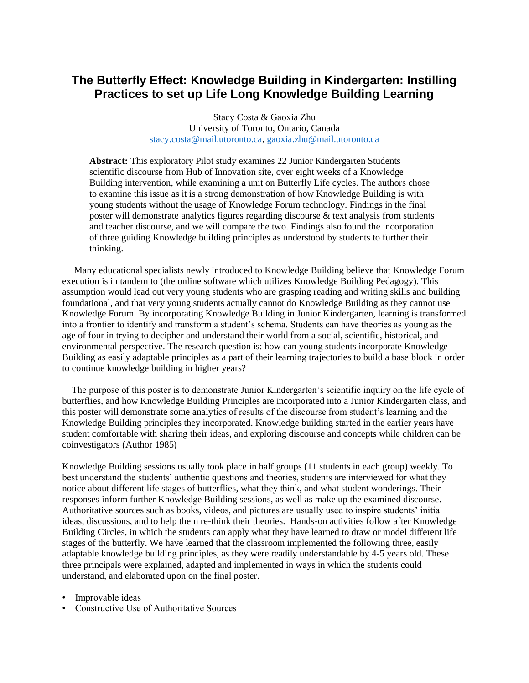## **The Butterfly Effect: Knowledge Building in Kindergarten: Instilling Practices to set up Life Long Knowledge Building Learning**

Stacy Costa & Gaoxia Zhu University of Toronto, Ontario, Canada [stacy.costa@mail.utoronto.ca,](mailto:stacy.costa@mail.utoronto.ca) [gaoxia.zhu@mail.utoronto.ca](mailto:gaoxia.zhu@mail.utoronto.ca)

**Abstract:** This exploratory Pilot study examines 22 Junior Kindergarten Students scientific discourse from Hub of Innovation site, over eight weeks of a Knowledge Building intervention, while examining a unit on Butterfly Life cycles. The authors chose to examine this issue as it is a strong demonstration of how Knowledge Building is with young students without the usage of Knowledge Forum technology. Findings in the final poster will demonstrate analytics figures regarding discourse & text analysis from students and teacher discourse, and we will compare the two. Findings also found the incorporation of three guiding Knowledge building principles as understood by students to further their thinking.

 Many educational specialists newly introduced to Knowledge Building believe that Knowledge Forum execution is in tandem to (the online software which utilizes Knowledge Building Pedagogy). This assumption would lead out very young students who are grasping reading and writing skills and building foundational, and that very young students actually cannot do Knowledge Building as they cannot use Knowledge Forum. By incorporating Knowledge Building in Junior Kindergarten, learning is transformed into a frontier to identify and transform a student's schema. Students can have theories as young as the age of four in trying to decipher and understand their world from a social, scientific, historical, and environmental perspective. The research question is: how can young students incorporate Knowledge Building as easily adaptable principles as a part of their learning trajectories to build a base block in order to continue knowledge building in higher years?

 The purpose of this poster is to demonstrate Junior Kindergarten's scientific inquiry on the life cycle of butterflies, and how Knowledge Building Principles are incorporated into a Junior Kindergarten class, and this poster will demonstrate some analytics of results of the discourse from student's learning and the Knowledge Building principles they incorporated. Knowledge building started in the earlier years have student comfortable with sharing their ideas, and exploring discourse and concepts while children can be coinvestigators (Author 1985)

Knowledge Building sessions usually took place in half groups (11 students in each group) weekly. To best understand the students' authentic questions and theories, students are interviewed for what they notice about different life stages of butterflies, what they think, and what student wonderings. Their responses inform further Knowledge Building sessions, as well as make up the examined discourse. Authoritative sources such as books, videos, and pictures are usually used to inspire students' initial ideas, discussions, and to help them re-think their theories. Hands-on activities follow after Knowledge Building Circles, in which the students can apply what they have learned to draw or model different life stages of the butterfly. We have learned that the classroom implemented the following three, easily adaptable knowledge building principles, as they were readily understandable by 4-5 years old. These three principals were explained, adapted and implemented in ways in which the students could understand, and elaborated upon on the final poster.

- Improvable ideas
- Constructive Use of Authoritative Sources